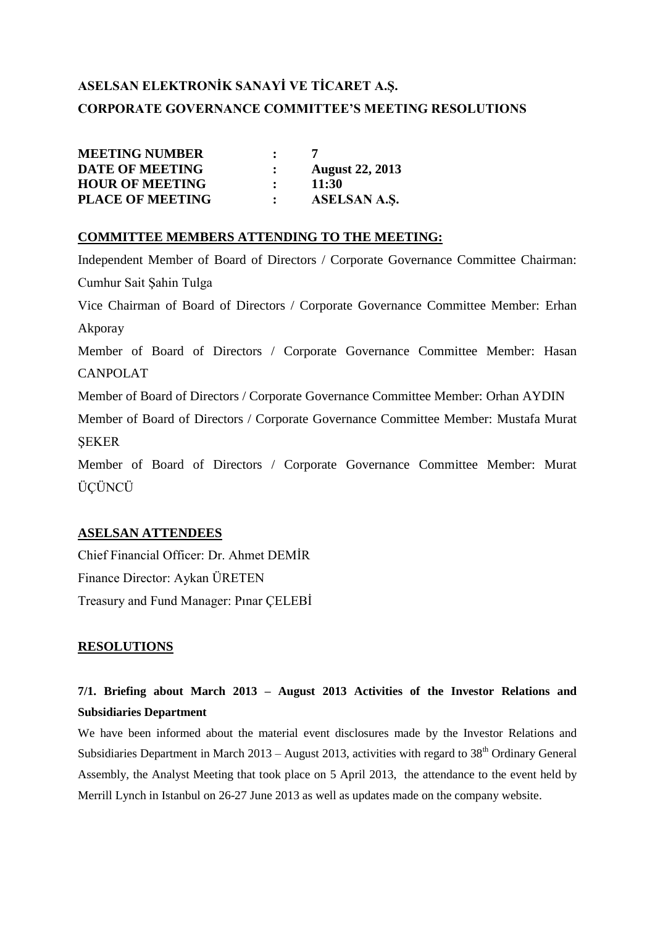# **ASELSAN ELEKTRONİK SANAYİ VE TİCARET A.Ş. CORPORATE GOVERNANCE COMMITTEE'S MEETING RESOLUTIONS**

| <b>MEETING NUMBER</b>   |              |                        |
|-------------------------|--------------|------------------------|
| <b>DATE OF MEETING</b>  |              | <b>August 22, 2013</b> |
| <b>HOUR OF MEETING</b>  | $\mathbf{r}$ | 11:30                  |
| <b>PLACE OF MEETING</b> |              | ASELSAN A.S.           |

### **COMMITTEE MEMBERS ATTENDING TO THE MEETING:**

Independent Member of Board of Directors / Corporate Governance Committee Chairman: Cumhur Sait Şahin Tulga Vice Chairman of Board of Directors / Corporate Governance Committee Member: Erhan Akporay Member of Board of Directors / Corporate Governance Committee Member: Hasan CANPOLAT Member of Board of Directors / Corporate Governance Committee Member: Orhan AYDIN Member of Board of Directors / Corporate Governance Committee Member: Mustafa Murat ŞEKER Member of Board of Directors / Corporate Governance Committee Member: Murat ÜÇÜNCÜ

### **ASELSAN ATTENDEES**

Chief Financial Officer: Dr. Ahmet DEMİR Finance Director: Aykan ÜRETEN Treasury and Fund Manager: Pınar ÇELEBİ

### **RESOLUTIONS**

## **7/1. Briefing about March 2013 – August 2013 Activities of the Investor Relations and Subsidiaries Department**

We have been informed about the material event disclosures made by the Investor Relations and Subsidiaries Department in March 2013 – August 2013, activities with regard to  $38<sup>th</sup>$  Ordinary General Assembly, the Analyst Meeting that took place on 5 April 2013, the attendance to the event held by Merrill Lynch in Istanbul on 26-27 June 2013 as well as updates made on the company website.